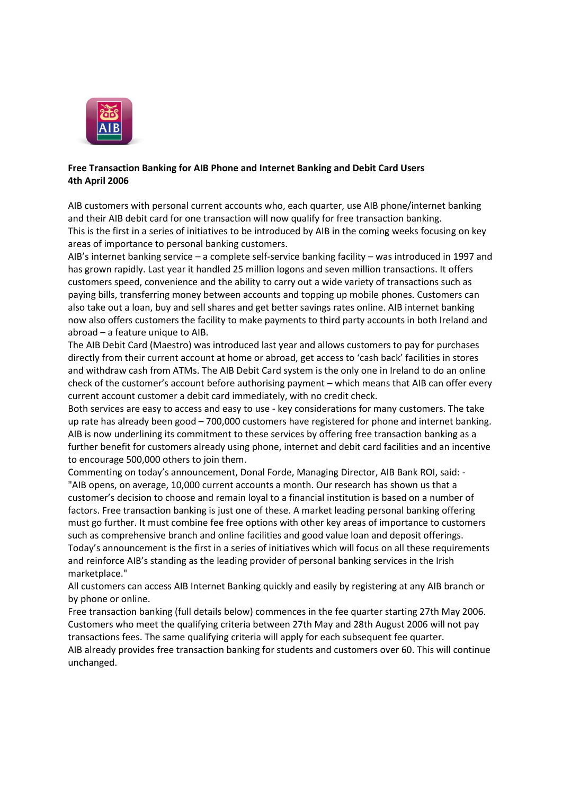

## **Free Transaction Banking for AIB Phone and Internet Banking and Debit Card Users 4th April 2006**

AIB customers with personal current accounts who, each quarter, use AIB phone/internet banking and their AIB debit card for one transaction will now qualify for free transaction banking. This is the first in a series of initiatives to be introduced by AIB in the coming weeks focusing on key areas of importance to personal banking customers.

AIB's internet banking service – a complete self-service banking facility – was introduced in 1997 and has grown rapidly. Last year it handled 25 million logons and seven million transactions. It offers customers speed, convenience and the ability to carry out a wide variety of transactions such as paying bills, transferring money between accounts and topping up mobile phones. Customers can also take out a loan, buy and sell shares and get better savings rates online. AIB internet banking now also offers customers the facility to make payments to third party accounts in both Ireland and abroad – a feature unique to AIB.

The AIB Debit Card (Maestro) was introduced last year and allows customers to pay for purchases directly from their current account at home or abroad, get access to 'cash back' facilities in stores and withdraw cash from ATMs. The AIB Debit Card system is the only one in Ireland to do an online check of the customer's account before authorising payment – which means that AIB can offer every current account customer a debit card immediately, with no credit check.

Both services are easy to access and easy to use - key considerations for many customers. The take up rate has already been good – 700,000 customers have registered for phone and internet banking. AIB is now underlining its commitment to these services by offering free transaction banking as a further benefit for customers already using phone, internet and debit card facilities and an incentive to encourage 500,000 others to join them.

Commenting on today's announcement, Donal Forde, Managing Director, AIB Bank ROI, said: - "AIB opens, on average, 10,000 current accounts a month. Our research has shown us that a customer's decision to choose and remain loyal to a financial institution is based on a number of factors. Free transaction banking is just one of these. A market leading personal banking offering must go further. It must combine fee free options with other key areas of importance to customers such as comprehensive branch and online facilities and good value loan and deposit offerings. Today's announcement is the first in a series of initiatives which will focus on all these requirements and reinforce AIB's standing as the leading provider of personal banking services in the Irish marketplace."

All customers can access AIB Internet Banking quickly and easily by registering at any AIB branch or by phone or online.

Free transaction banking (full details below) commences in the fee quarter starting 27th May 2006. Customers who meet the qualifying criteria between 27th May and 28th August 2006 will not pay transactions fees. The same qualifying criteria will apply for each subsequent fee quarter. AIB already provides free transaction banking for students and customers over 60. This will continue unchanged.